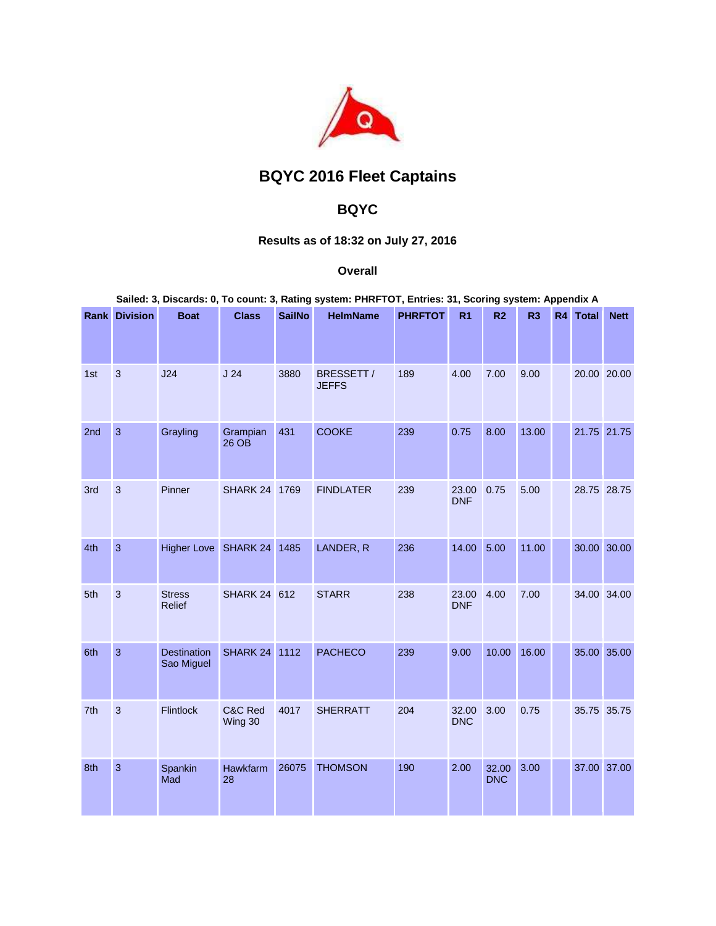

## **BQYC 2016 Fleet Captains**

## **BQYC**

## **Results as of 18:32 on July 27, 2016**

## **Overall**

|  |  | Sailed: 3, Discards: 0, To count: 3, Rating system: PHRFTOT, Entries: 31, Scoring system: Appendix A |
|--|--|------------------------------------------------------------------------------------------------------|
|  |  |                                                                                                      |

|     | <b>Rank Division</b> | <b>Boat</b>                      | <b>Class</b>        | <b>SailNo</b> | <b>HelmName</b>            | <b>PHRFTOT</b> | R <sub>1</sub>      | R <sub>2</sub>      | R3    | R4 | <b>Total</b> | <b>Nett</b> |
|-----|----------------------|----------------------------------|---------------------|---------------|----------------------------|----------------|---------------------|---------------------|-------|----|--------------|-------------|
|     |                      |                                  |                     |               |                            |                |                     |                     |       |    |              |             |
| 1st | 3                    | J24                              | J <sub>24</sub>     | 3880          | BRESSETT /<br><b>JEFFS</b> | 189            | 4.00                | 7.00                | 9.00  |    |              | 20.00 20.00 |
| 2nd | $\overline{3}$       | Grayling                         | Grampian<br>26 OB   | 431           | <b>COOKE</b>               | 239            | 0.75                | 8.00                | 13.00 |    |              | 21.75 21.75 |
| 3rd | 3                    | Pinner                           | SHARK 24 1769       |               | <b>FINDLATER</b>           | 239            | 23.00<br><b>DNF</b> | 0.75                | 5.00  |    |              | 28.75 28.75 |
| 4th | $\mathbf{3}$         | <b>Higher Love</b>               | SHARK 24            | 1485          | LANDER, R                  | 236            | 14.00               | 5.00                | 11.00 |    |              | 30.00 30.00 |
| 5th | $\mathbf{3}$         | <b>Stress</b><br>Relief          | <b>SHARK 24 612</b> |               | <b>STARR</b>               | 238            | 23.00<br><b>DNF</b> | 4.00                | 7.00  |    |              | 34.00 34.00 |
| 6th | $\overline{3}$       | <b>Destination</b><br>Sao Miguel | SHARK 24            | 1112          | <b>PACHECO</b>             | 239            | 9.00                | 10.00               | 16.00 |    |              | 35.00 35.00 |
| 7th | 3                    | Flintlock                        | C&C Red<br>Wing 30  | 4017          | <b>SHERRATT</b>            | 204            | 32.00<br><b>DNC</b> | 3.00                | 0.75  |    |              | 35.75 35.75 |
| 8th | 3                    | Spankin<br>Mad                   | Hawkfarm<br>28      | 26075         | <b>THOMSON</b>             | 190            | 2.00                | 32.00<br><b>DNC</b> | 3.00  |    |              | 37.00 37.00 |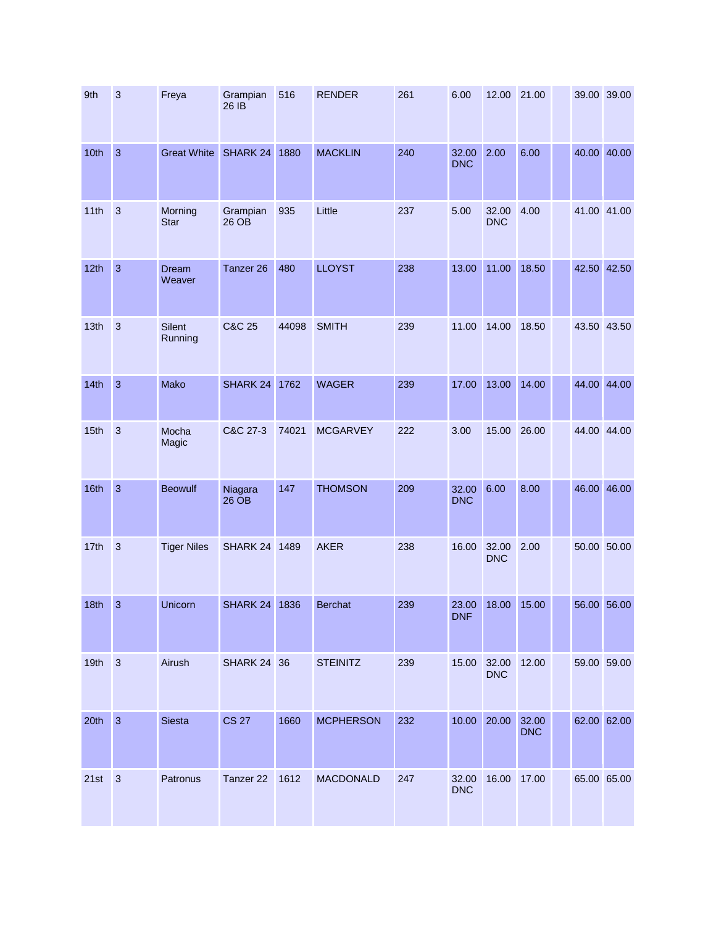| 9th  | $\mathbf{3}$   | Freya                  | Grampian<br>26 IB  | 516   | <b>RENDER</b>    | 261 | 6.00                | 12.00               | 21.00               |  | 39.00 39.00 |
|------|----------------|------------------------|--------------------|-------|------------------|-----|---------------------|---------------------|---------------------|--|-------------|
| 10th | $\overline{3}$ | <b>Great White</b>     | SHARK 24           | 1880  | <b>MACKLIN</b>   | 240 | 32.00<br><b>DNC</b> | 2.00                | 6.00                |  | 40.00 40.00 |
| 11th | $\mathbf{3}$   | Morning<br><b>Star</b> | Grampian<br>26 OB  | 935   | Little           | 237 | 5.00                | 32.00<br><b>DNC</b> | 4.00                |  | 41.00 41.00 |
| 12th | $\overline{3}$ | Dream<br>Weaver        | Tanzer 26          | 480   | <b>LLOYST</b>    | 238 | 13.00               | 11.00               | 18.50               |  | 42.50 42.50 |
| 13th | $\overline{3}$ | Silent<br>Running      | C&C 25             | 44098 | <b>SMITH</b>     | 239 | 11.00               | 14.00               | 18.50               |  | 43.50 43.50 |
| 14th | $\overline{3}$ | Mako                   | SHARK 24           | 1762  | <b>WAGER</b>     | 239 | 17.00               | 13.00               | 14.00               |  | 44.00 44.00 |
| 15th | $\overline{3}$ | Mocha<br>Magic         | C&C 27-3           | 74021 | <b>MCGARVEY</b>  | 222 | 3.00                | 15.00               | 26.00               |  | 44.00 44.00 |
| 16th | $\overline{3}$ | <b>Beowulf</b>         | Niagara<br>26 OB   | 147   | <b>THOMSON</b>   | 209 | 32.00<br><b>DNC</b> | 6.00                | 8.00                |  | 46.00 46.00 |
| 17th | 3              | <b>Tiger Niles</b>     | SHARK 24 1489      |       | <b>AKER</b>      | 238 | 16.00               | 32.00<br><b>DNC</b> | 2.00                |  | 50.00 50.00 |
| 18th | 3              | Unicorn                | SHARK 24           | 1836  | <b>Berchat</b>   | 239 | 23.00<br><b>DNF</b> | 18.00               | 15.00               |  | 56.00 56.00 |
| 19th | $\overline{3}$ | Airush                 | <b>SHARK 24 36</b> |       | <b>STEINITZ</b>  | 239 | 15.00               | 32.00<br><b>DNC</b> | 12.00               |  | 59.00 59.00 |
| 20th | $\overline{3}$ | Siesta                 | <b>CS 27</b>       | 1660  | <b>MCPHERSON</b> | 232 | 10.00               | 20.00               | 32.00<br><b>DNC</b> |  | 62.00 62.00 |
| 21st | $\mathbf{3}$   | Patronus               | Tanzer 22          | 1612  | <b>MACDONALD</b> | 247 | 32.00<br><b>DNC</b> | 16.00               | 17.00               |  | 65.00 65.00 |